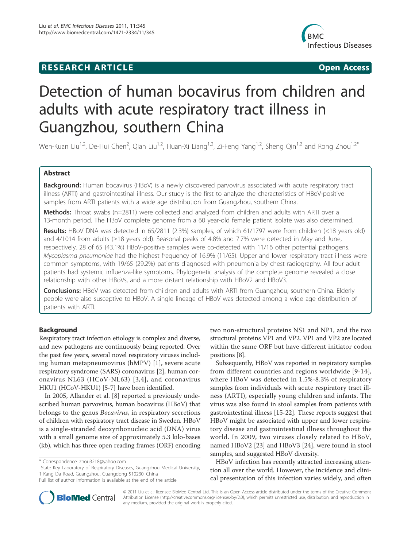## **RESEARCH ARTICLE Example 2018 CONSIDERING ACCESS**



# Detection of human bocavirus from children and adults with acute respiratory tract illness in Guangzhou, southern China

Wen-Kuan Liu<sup>1,2</sup>, De-Hui Chen<sup>2</sup>, Qian Liu<sup>1,2</sup>, Huan-Xi Liang<sup>1,2</sup>, Zi-Feng Yang<sup>1,2</sup>, Sheng Qin<sup>1,2</sup> and Rong Zhou<sup>1,2\*</sup>

## Abstract

Background: Human bocavirus (HBoV) is a newly discovered parvovirus associated with acute respiratory tract illness (ARTI) and gastrointestinal illness. Our study is the first to analyze the characteristics of HBoV-positive samples from ARTI patients with a wide age distribution from Guangzhou, southern China.

Methods: Throat swabs (n=2811) were collected and analyzed from children and adults with ARTI over a 13-month period. The HBoV complete genome from a 60 year-old female patient isolate was also determined.

Results: HBoV DNA was detected in 65/2811 (2.3%) samples, of which 61/1797 were from children (<18 years old) and 4/1014 from adults (≥18 years old). Seasonal peaks of 4.8% and 7.7% were detected in May and June, respectively. 28 of 65 (43.1%) HBoV-positive samples were co-detected with 11/16 other potential pathogens. Mycoplasma pneumoniae had the highest frequency of 16.9% (11/65). Upper and lower respiratory tract illness were common symptoms, with 19/65 (29.2%) patients diagnosed with pneumonia by chest radiography. All four adult patients had systemic influenza-like symptoms. Phylogenetic analysis of the complete genome revealed a close relationship with other HBoVs, and a more distant relationship with HBoV2 and HBoV3.

Conclusions: HBoV was detected from children and adults with ARTI from Guangzhou, southern China. Elderly people were also susceptive to HBoV. A single lineage of HBoV was detected among a wide age distribution of patients with ARTI.

## Background

Respiratory tract infection etiology is complex and diverse, and new pathogens are continuously being reported. Over the past few years, several novel respiratory viruses including human metapneumovirus (hMPV) [1], severe acute respiratory syndrome (SARS) coronavirus [2], human coronavirus NL63 (HCoV-NL63) [3,4], and coronavirus HKU1 (HCoV-HKU1) [5-7] have been identified.

In 2005, Allander et al. [8] reported a previously undescribed human parvovirus, human bocavirus (HBoV) that belongs to the genus Bocavirus, in respiratory secretions of children with respiratory tract disease in Sweden. HBoV is a single-stranded deoxyribonucleic acid (DNA) virus with a small genome size of approximately 5.3 kilo-bases (kb), which has three open reading frames (ORF) encoding

<sup>1</sup>State Key Laboratory of Respiratory Diseases, Guangzhou Medical University, 1 Kang Da Road, Guangzhou, Guangdong 510230, China

two non-structural proteins NS1 and NP1, and the two structural proteins VP1 and VP2. VP1 and VP2 are located within the same ORF but have different initiator codon positions [8].

Subsequently, HBoV was reported in respiratory samples from different countries and regions worldwide [9-14], where HBoV was detected in 1.5%-8.3% of respiratory samples from individuals with acute respiratory tract illness (ARTI), especially young children and infants. The virus was also found in stool samples from patients with gastrointestinal illness [15-22]. These reports suggest that HBoV might be associated with upper and lower respiratory disease and gastrointestinal illness throughout the world. In 2009, two viruses closely related to HBoV, named HBoV2 [23] and HBoV3 [24], were found in stool samples, and suggested HBoV diversity.

HBoV infection has recently attracted increasing attention all over the world. However, the incidence and clinical presentation of this infection varies widely, and often



© 2011 Liu et al; licensee BioMed Central Ltd. This is an Open Access article distributed under the terms of the Creative Commons Attribution License (http://creativecommons.org/licenses/by/2.0), which permits unrestricted use, distribution, and reproduction in any medium, provided the original work is properly cited.

<sup>\*</sup> Correspondence: zhou3218@yahoo.com

Full list of author information is available at the end of the article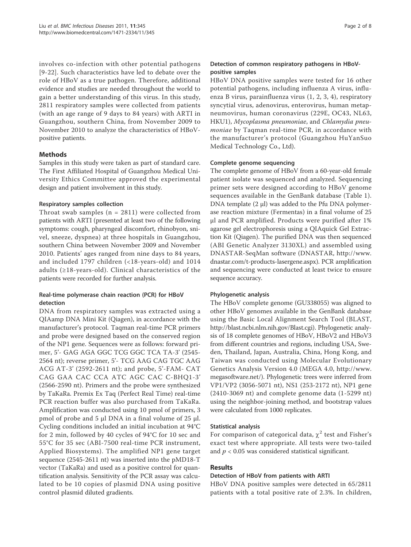involves co-infection with other potential pathogens [9-22]. Such characteristics have led to debate over the role of HBoV as a true pathogen. Therefore, additional evidence and studies are needed throughout the world to gain a better understanding of this virus. In this study, 2811 respiratory samples were collected from patients (with an age range of 9 days to 84 years) with ARTI in Guangzhou, southern China, from November 2009 to November 2010 to analyze the characteristics of HBoVpositive patients.

## Methods

Samples in this study were taken as part of standard care. The First Affiliated Hospital of Guangzhou Medical University Ethics Committee approved the experimental design and patient involvement in this study.

## Respiratory samples collection

Throat swab samples ( $n = 2811$ ) were collected from patients with ARTI (presented at least two of the following symptoms: cough, pharyngeal discomfort, rhinobyon, snivel, sneeze, dyspnea) at three hospitals in Guangzhou, southern China between November 2009 and November 2010. Patients' ages ranged from nine days to 84 years, and included 1797 children (<18-years-old) and 1014 adults  $(\geq 18$ -years-old). Clinical characteristics of the patients were recorded for further analysis.

## Real-time polymerase chain reaction (PCR) for HBoV detection

DNA from respiratory samples was extracted using a QIAamp DNA Mini Kit (Qiagen), in accordance with the manufacturer's protocol. Taqman real-time PCR primers and probe were designed based on the conserved region of the NP1 gene. Sequences were as follows: forward primer, 5'- GAG AGA GGC TCG GGC TCA TA-3' (2545- 2564 nt); reverse primer, 5'- TCG AAG CAG TGC AAG ACG AT-3' (2592-2611 nt); and probe, 5'-FAM- CAT CAG GAA CAC CCA ATC AGC CAC C-BHQ1-3' (2566-2590 nt). Primers and the probe were synthesized by TaKaRa. Premix Ex Taq (Perfect Real Time) real-time PCR reaction buffer was also purchased from TaKaRa. Amplification was conducted using 10 pmol of primers, 3 pmol of probe and 5 μl DNA in a final volume of 25 μl. Cycling conditions included an initial incubation at 94°C for 2 min, followed by 40 cycles of 94°C for 10 sec and 55°C for 35 sec (ABI-7500 real-time PCR instrument, Applied Biosystems). The amplified NP1 gene target sequence (2545-2611 nt) was inserted into the pMD18-T vector (TaKaRa) and used as a positive control for quantification analysis. Sensitivity of the PCR assay was calculated to be 10 copies of plasmid DNA using positive control plasmid diluted gradients.

## Detection of common respiratory pathogens in HBoVpositive samples

HBoV DNA positive samples were tested for 16 other potential pathogens, including influenza A virus, influenza B virus, parainfluenza virus (1, 2, 3, 4), respiratory syncytial virus, adenovirus, enterovirus, human metapneumovirus, human coronavirus (229E, OC43, NL63, HKU1), Mycoplasma pneumoniae, and Chlamydia pneumoniae by Taqman real-time PCR, in accordance with the manufacturer's protocol (Guangzhou HuYanSuo Medical Technology Co., Ltd).

#### Complete genome sequencing

The complete genome of HBoV from a 60-year-old female patient isolate was sequenced and analyzed. Sequencing primer sets were designed according to HBoV genome sequences available in the GenBank database (Table 1). DNA template (2 μl) was added to the Pfu DNA polymerase reaction mixture (Fermentas) in a final volume of 25 μl and PCR amplified. Products were purified after 1% agarose gel electrophoresis using a QIAquick Gel Extraction Kit (Qiagen). The purified DNA was then sequenced (ABI Genetic Analyzer 3130XL) and assembled using DNASTAR-SeqMan software (DNASTAR, http://www. dnastar.com/t-products-lasergene.aspx). PCR amplification and sequencing were conducted at least twice to ensure sequence accuracy.

## Phylogenetic analysis

The HBoV complete genome (GU338055) was aligned to other HBoV genomes available in the GenBank database using the Basic Local Alignment Search Tool (BLAST, http://blast.ncbi.nlm.nih.gov/Blast.cgi). Phylogenetic analysis of 18 complete genomes of HBoV, HBoV2 and HBoV3 from different countries and regions, including USA, Sweden, Thailand, Japan, Australia, China, Hong Kong, and Taiwan was conducted using Molecular Evolutionary Genetics Analysis Version 4.0 (MEGA 4.0, http://www. megasoftware.net/). Phylogenetic trees were inferred from VP1/VP2 (3056-5071 nt), NS1 (253-2172 nt), NP1 gene (2410-3069 nt) and complete genome data (1-5299 nt) using the neighbor-joining method, and bootstrap values were calculated from 1000 replicates.

## Statistical analysis

For comparison of categorical data,  $\chi^2$  test and Fisher's exact test where appropriate. All tests were two-tailed and  $p < 0.05$  was considered statistical significant.

## Results

## Detection of HBoV from patients with ARTI

HBoV DNA positive samples were detected in 65/2811 patients with a total positive rate of 2.3%. In children,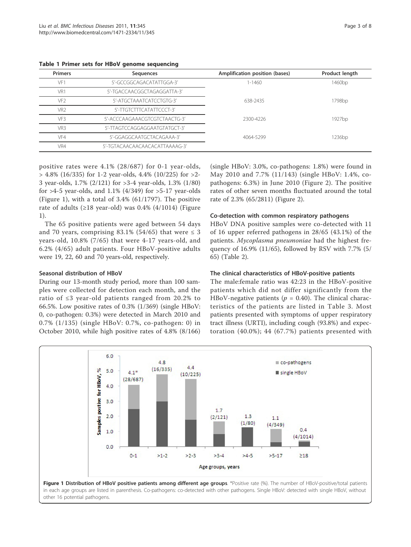| <b>Primers</b>  | Sequences                      | Amplification position (bases) | Product length     |
|-----------------|--------------------------------|--------------------------------|--------------------|
| VF.             | 5'-GCCGGCAGACATATTGGA-3'       | $1 - 1460$                     | 1460 <sub>bp</sub> |
| VR1             | 5'-TGACCAACGGCTAGAGGATTA-3'    |                                |                    |
| VF <sub>2</sub> | 5'-ATGCTAAATCATCCTGTG-3'       | 638-2435                       | 1798bp             |
| VR <sub>2</sub> | 5'-TTGTCTTTCATATTCCCT-3'       |                                |                    |
| VF3             | 5'-ACCCAAGAAACGTCGTCTAACTG-3'  | 2300-4226                      | 1927bp             |
| VR3             | 5'-TTAGTCCAGGAGGAATGTATGCT-3'  |                                |                    |
| VF4             | 5'-GGAGGCAATGCTACAGAAA-3'      | 4064-5299                      | 1236 <sub>bp</sub> |
| VR4             | 5'-TGTACAACAACAACACATTAAAAG-3' |                                |                    |

Table 1 Primer sets for HBoV genome sequencing

positive rates were 4.1% (28/687) for 0-1 year-olds,  $> 4.8\%$  (16/335) for 1-2 year-olds, 4.4% (10/225) for  $>2$ -3 year-olds, 1.7% (2/121) for >3-4 year-olds, 1.3% (1/80) for  $>4-5$  year-olds, and 1.1% (4/349) for  $>5-17$  year-olds (Figure 1), with a total of 3.4% (61/1797). The positive rate of adults ( $\geq$ 18 year-old) was 0.4% (4/1014) (Figure 1).

The 65 positive patients were aged between 54 days and 70 years, comprising 83.1% (54/65) that were  $\leq$  3 years-old, 10.8% (7/65) that were 4-17 years-old, and 6.2% (4/65) adult patients. Four HBoV-positive adults were 19, 22, 60 and 70 years-old, respectively.

## Seasonal distribution of HBoV

During our 13-month study period, more than 100 samples were collected for detection each month, and the ratio of ≤3 year-old patients ranged from 20.2% to 66.5%. Low positive rates of 0.3% (1/369) (single HBoV: 0, co-pathogen: 0.3%) were detected in March 2010 and 0.7% (1/135) (single HBoV: 0.7%, co-pathogen: 0) in October 2010, while high positive rates of 4.8% (8/166)

(single HBoV: 3.0%, co-pathogens: 1.8%) were found in May 2010 and 7.7% (11/143) (single HBoV: 1.4%, copathogens: 6.3%) in June 2010 (Figure 2). The positive rates of other seven months fluctuated around the total rate of 2.3% (65/2811) (Figure 2).

## Co-detection with common respiratory pathogens

HBoV DNA positive samples were co-detected with 11 of 16 upper referred pathogens in 28/65 (43.1%) of the patients. Mycoplasma pneumoniae had the highest frequency of 16.9% (11/65), followed by RSV with 7.7% (5/ 65) (Table 2).

#### The clinical characteristics of HBoV-positive patients

The male:female ratio was 42:23 in the HBoV-positive patients which did not differ significantly from the HBoV-negative patients ( $p = 0.40$ ). The clinical characteristics of the patients are listed in Table 3. Most patients presented with symptoms of upper respiratory tract illness (URTI), including cough (93.8%) and expectoration (40.0%); 44 (67.7%) patients presented with

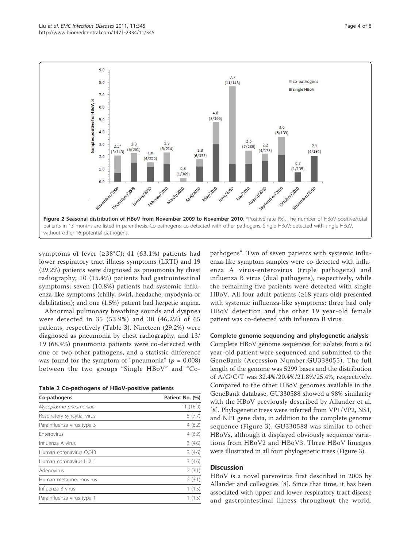

symptoms of fever  $(\geq 38^{\circ}\text{C})$ ; 41 (63.1%) patients had lower respiratory tract illness symptoms (LRTI) and 19 (29.2%) patients were diagnosed as pneumonia by chest radiography; 10 (15.4%) patients had gastrointestinal symptoms; seven (10.8%) patients had systemic influenza-like symptoms (chilly, swirl, headache, myodynia or debilitation); and one (1.5%) patient had herpetic angina.

Abnormal pulmonary breathing sounds and dyspnea were detected in 35 (53.9%) and 30 (46.2%) of 65 patients, respectively (Table 3). Nineteen (29.2%) were diagnosed as pneumonia by chest radiography, and 13/ 19 (68.4%) pneumonia patients were co-detected with one or two other pathogens, and a statistic difference was found for the symptom of "pneumonia" ( $p = 0.008$ ) between the two groups "Single HBoV" and "Co-

|  |  |  |  | Table 2 Co-pathogens of HBoV-positive patients |  |
|--|--|--|--|------------------------------------------------|--|
|--|--|--|--|------------------------------------------------|--|

| Co-pathogens                | Patient No. (%) |
|-----------------------------|-----------------|
| Mycoplasma pneumoniae       | 11(16.9)        |
| Respiratory syncytial virus | 5(7.7)          |
| Parainfluenza virus type 3  | 4(6.2)          |
| <b>Enterovirus</b>          | 4(6.2)          |
| Influenza A virus           | 3(4.6)          |
| Human coronavirus OC43      | 3(4.6)          |
| Human coronavirus HKU1      | 3(4.6)          |
| Adenovirus                  | 2(3.1)          |
| Human metapneumovirus       | 2(3.1)          |
| Influenza B virus           | 1(1.5)          |
| Parainfluenza virus type 1  | 1 (1.5)         |

pathogens". Two of seven patients with systemic influenza-like symptom samples were co-detected with influenza A virus-enterovirus (triple pathogens) and influenza B virus (dual pathogens), respectively, while the remaining five patients were detected with single HBoV. All four adult patients (≥18 years old) presented with systemic influenza-like symptoms; three had only HBoV detection and the other 19 year-old female patient was co-detected with influenza B virus.

#### Complete genome sequencing and phylogenetic analysis

Complete HBoV genome sequences for isolates from a 60 year-old patient were sequenced and submitted to the GeneBank (Accession Number:GU338055). The full length of the genome was 5299 bases and the distribution of A/G/C/T was 32.4%/20.4%/21.8%/25.4%, respectively. Compared to the other HBoV genomes available in the GeneBank database, GU330588 showed a 98% similarity with the HBoV previously described by Allander et al. [8]. Phylogenetic trees were inferred from VP1/VP2, NS1, and NP1 gene data, in addition to the complete genome sequence (Figure 3). GU330588 was similar to other HBoVs, although it displayed obviously sequence variations from HBoV2 and HBoV3. Three HBoV lineages were illustrated in all four phylogenetic trees (Figure 3).

## **Discussion**

HBoV is a novel parvovirus first described in 2005 by Allander and colleagues [8]. Since that time, it has been associated with upper and lower-respiratory tract disease and gastrointestinal illness throughout the world.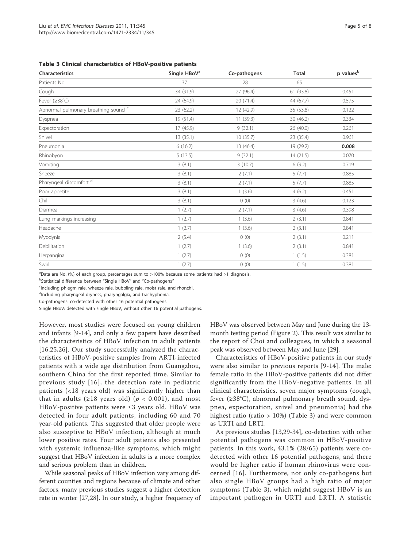| <b>Characteristics</b>               | Single HBoV <sup>a</sup> | Co-pathogens | <b>Total</b> | $p$ values <sup>b</sup> |
|--------------------------------------|--------------------------|--------------|--------------|-------------------------|
| Patients No.                         | 37                       | 28           | 65           |                         |
| Cough                                | 34 (91.9)                | 27 (96.4)    | 61 (93.8)    | 0.451                   |
| Fever (≥38°C)                        | 24 (64.9)                | 20 (71.4)    | 44 (67.7)    | 0.575                   |
| Abnormal pulmonary breathing sound c | 23 (62.2)                | 12 (42.9)    | 35 (53.8)    | 0.122                   |
| Dyspnea                              | 19 (51.4)                | 11(39.3)     | 30 (46.2)    | 0.334                   |
| Expectoration                        | 17(45.9)                 | 9(32.1)      | 26(40.0)     | 0.261                   |
| Snivel                               | 13 (35.1)                | 10(35.7)     | 23 (35.4)    | 0.961                   |
| Pneumonia                            | 6(16.2)                  | 13 (46.4)    | 19 (29.2)    | 0.008                   |
| Rhinobyon                            | 5(13.5)                  | 9(32.1)      | 14(21.5)     | 0.070                   |
| Vomiting                             | 3(8.1)                   | 3(10.7)      | 6(9.2)       | 0.719                   |
| Sneeze                               | 3(8.1)                   | 2(7.1)       | 5(7.7)       | 0.885                   |
| Pharyngeal discomfort d              | 3(8.1)                   | 2(7.1)       | 5(7.7)       | 0.885                   |
| Poor appetite                        | 3(8.1)                   | 1(3.6)       | 4(6.2)       | 0.451                   |
| Chill                                | 3(8.1)                   | 0(0)         | 3(4.6)       | 0.123                   |
| Diarrhea                             | 1(2.7)                   | 2(7.1)       | 3(4.6)       | 0.398                   |
| Lung markings increasing             | 1(2.7)                   | 1(3.6)       | 2(3.1)       | 0.841                   |
| Headache                             | 1(2.7)                   | 1(3.6)       | 2(3.1)       | 0.841                   |
| Myodynia                             | 2(5.4)                   | 0(0)         | 2(3.1)       | 0.211                   |
| Debilitation                         | 1(2.7)                   | 1(3.6)       | 2(3.1)       | 0.841                   |
| Herpangina                           | 1(2.7)                   | 0(0)         | 1(1.5)       | 0.381                   |
| Swirl                                | 1(2.7)                   | 0(0)         | 1(1.5)       | 0.381                   |

<sup>a</sup>Data are No. (%) of each group, percentages sum to >100% because some patients had >1 diagnosis.

<sup>b</sup>Statistical difference between "Single HBoV" and "Co-pathogens"

<sup>c</sup>Including phlegm rale, wheeze rale, bubbling rale, moist rale, and rhonchi.

<sup>d</sup>Including pharyngeal dryness, pharyngalgia, and trachyphonia.

Co-pathogens: co-detected with other 16 potential pathogens.

Single HBoV: detected with single HBoV, without other 16 potential pathogens.

However, most studies were focused on young children and infants [9-14], and only a few papers have described the characteristics of HBoV infection in adult patients [16,25,26]. Our study successfully analyzed the characteristics of HBoV-positive samples from ARTI-infected patients with a wide age distribution from Guangzhou, southern China for the first reported time. Similar to previous study [16], the detection rate in pediatric patients (<18 years old) was significantly higher than that in adults ( $\geq$ 18 years old) ( $p < 0.001$ ), and most HBoV-positive patients were ≤3 years old. HBoV was detected in four adult patients, including 60 and 70 year-old patients. This suggested that older people were also susceptive to HBoV infection, although at much lower positive rates. Four adult patients also presented with systemic influenza-like symptoms, which might suggest that HBoV infection in adults is a more complex and serious problem than in children.

While seasonal peaks of HBoV infection vary among different counties and regions because of climate and other factors, many previous studies suggest a higher detection rate in winter [27,28]. In our study, a higher frequency of HBoV was observed between May and June during the 13 month testing period (Figure 2). This result was similar to the report of Choi and colleagues, in which a seasonal peak was observed between May and June [29].

Characteristics of HBoV-positive patients in our study were also similar to previous reports [9-14]. The male: female ratio in the HBoV-positive patients did not differ significantly from the HBoV-negative patients. In all clinical characteristics, seven major symptoms (cough, fever (≥38°C), abnormal pulmonary breath sound, dyspnea, expectoration, snivel and pneumonia) had the highest ratio (ratio  $> 10\%$ ) (Table 3) and were common as URTI and LRTI.

As previous studies [13,29-34], co-detection with other potential pathogens was common in HBoV-positive patients. In this work, 43.1% (28/65) patients were codetected with other 16 potential pathogens, and there would be higher ratio if human rhinovirus were concerned [16]. Furthermore, not only co-pathogens but also single HBoV groups had a high ratio of major symptoms (Table 3), which might suggest HBoV is an important pathogen in URTI and LRTI. A statistic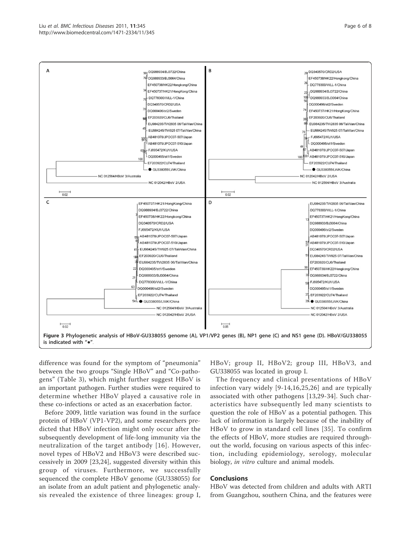#### Liu et al. BMC Infectious Diseases 2011, 11:345 http://www.biomedcentral.com/1471-2334/11/345



difference was found for the symptom of "pneumonia" between the two groups "Single HBoV" and "Co-pathogens" (Table 3), which might further suggest HBoV is an important pathogen. Further studies were required to determine whether HBoV played a causative role in these co-infections or acted as an exacerbation factor.

Before 2009, little variation was found in the surface protein of HBoV (VP1-VP2), and some researchers predicted that HBoV infection might only occur after the subsequently development of life-long immunity via the neutralization of the target antibody [16]. However, novel types of HBoV2 and HBoV3 were described successively in 2009 [23,24], suggested diversity within this group of viruses. Furthermore, we successfully sequenced the complete HBoV genome (GU338055) for an isolate from an adult patient and phylogenetic analysis revealed the existence of three lineages: group I, HBoV; group II, HBoV2; group III, HBoV3, and GU338055 was located in group I.

The frequency and clinical presentations of HBoV infection vary widely [9-14,16,25,26] and are typically associated with other pathogens [13,29-34]. Such characteristics have subsequently led many scientists to question the role of HBoV as a potential pathogen. This lack of information is largely because of the inability of HBoV to grow in standard cell lines [35]. To confirm the effects of HBoV, more studies are required throughout the world, focusing on various aspects of this infection, including epidemiology, serology, molecular biology, in vitro culture and animal models.

#### **Conclusions**

HBoV was detected from children and adults with ARTI from Guangzhou, southern China, and the features were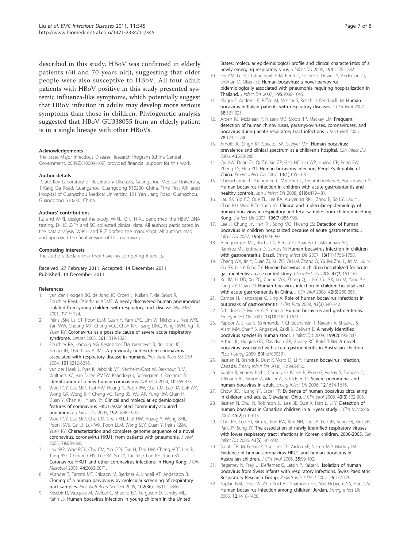described in this study. HBoV was confirmed in elderly patients (60 and 70 years old), suggesting that older people were also susceptive to HBoV. All four adult patients with HBoV positive in this study presented systemic influenza-like symptoms, which potentially suggest that HBoV infection in adults may develop more serious symptoms than those in children. Phylogenetic analysis suggested that HBoV-GU338055 from an elderly patient is in a single lineage with other HBoVs.

#### Acknowledgements

The State Major Infectious Disease Research Program (China Central Government, 2009ZX10004-109) provided financial support for this work.

#### Author details

<sup>1</sup>State Key Laboratory of Respiratory Diseases, Guangzhou Medical University, 1 Kang Da Road, Guangzhou, Guangdong 510230, China. <sup>2</sup>The First Affiliated Hospital of Guangzhou Medical University, 151 Yan Jiang Road, Guangzhou, Guangdong 510230, China.

#### Authors' contributions

RZ and W-KL designed the study. W-KL, Q L, H-XL performed the HBoV DNA testing. D-HC, Z-FY and SQ collected clinical data. All authors participated in the data analysis. W-K L and R Z drafted the manuscript. All authors read and approved the final version of this manuscript.

#### Competing interests

The authors declare that they have no competing interests.

#### Received: 27 February 2011 Accepted: 14 December 2011 Published: 14 December 2011

#### References

- van den Hoogen BG, de Jong JC, Groen J, Kuiken T, de Groot R, Fouchier RAM, Osterhaus ADME: A newly discovered human pneumovirus isolated from young children with respiratory tract disease. Nat Med 2001, 7:719-724.
- Peiris JSM, Lai ST, Poon LLM, Guan Y, Yam LYC, Lim W, Nicholls J, Yee WKS, Yan WW, Cheung MT, Cheng VCC, Chan KH, Tsang DNC, Yung RWH, Ng TK, Yuen KY: Coronavirus as a possible cause of severe acute respiratory syndrome. Lancet 2003, 361:1319-1325.
- 3. Fouchier RA, Hartwig NG, Bestebroer TM, Niemeyer B, de Jong JC, Simon JH, Osterhaus ADME: A previously undescribed coronavirus associated with respiratory disease in humans. Proc Natl Acad Sci USA 2004, 101:6212-6216.
- van der Hoek L, Pyrc K, Jebbink MF, Vertheim-Oost W, Berkhout RJM, Wolthers KC, van Dillen PMEW, Kaandorp J, Spaargaren J, Berkhout B: Identification of a new human coronavirus. Nat Med 2004, 10:368-373.
- 5. Woo PCY, Lau SKP, Tsoi HW, Huang Y, Poon RW, Chu CM, Lee RA, Luk WK, Wong GK, Wong BH, Cheng VC, Tang BS, Wu AK, Yung RW, Chen H, Guan Y, Chan KH, Yuen KY: Clinical and molecular epidemiological features of coronavirus HKU1-associated community-acquired pneumonia. J Infect Dis 2005, 192:1898-1907.
- Woo PCY, Lau SKP, Chu CM, Chan KH, Tsoi HW, Huang Y, Wong BHL, Poon RWS, Cai JJ, Luk WK, Poon LLM, Wong SSY, Guan Y, Peiris GSM, Yuen KY: Characterization and complete genome sequence of a novel coronavirus, coronavirus HKU1, from patients with pneumonia. J Virol 2005, 79:884-895.
- Lau SKP, Woo PCY, Chu CM, Yip CCY, Tse H, Tsoi HW, Cheng VCC, Lee P, Tang BSF, Cheung CHY, Lee RA, So LY, Lau YL, Chan KH, Yuen KY: Coronavirus HKU1 and other coronavirus infections in Hong Kong. J Clin Microbiol 2006, 44:2063-2071.
- 8. Allander T, Tammi MT, Eriksson M, Bjerkner A, Lindell AT, Andersson B: Cloning of a human parvovirus by molecular screening of respiratory tract samples. Proc Natl Acad Sci USA 2005, 102(36):12891-12896.
- Kesebir D, Vazquez M, Weibel C, Shapiro ED, Ferguson D, Landry ML, Kahn JS: Human bocavirus infection in young children in the United

States: molecular epidemiological profile and clinical characteristics of a newly emerging respiratory virus. J Infect Dis 2006, 194:1276-1282.

- 10. Fry AM, Lu X, Chittaganpitch M, Peret T, Fischer J, Dowell S, Anderson LJ, Erdman D, Olsen SJ: Human bocavirus: a novel parvovirus pidemiologically associated with pneumonia requiring hospitalization in Thailand. J Infect Dis 2007, 195:1038-1045.
- 11. Maggi F, Andreoli E, Pifferi M, Meschi S, Rocchi J, Bendinelli M: Human bocavirus in Italian patients with respiratory diseases. J Clin Virol 2007, 38:321-325.
- 12. Arden KE, McErlean P, Nissen MD, Sloots TP, Mackay LM: Frequent detection of human rhinoviruses, paramyxoviruses, coronaviruses, and bocavirus during acute respiratory tract infections. J Med Virol 2006, 78:1232-1240.
- 13. Arnold JC, Singh KK, Spector SA, Sawyer MH: Human bocavirus: prevalence and clinical spectrum at a children's hospital. Clin Infect Dis 2006, 43:283-288.
- 14. Qu XW, Duan ZJ, Qi ZY, Xie ZP, Gao HC, Liu WP, Huang CP, Peng FW, Zheng LS, Hou YD: Human bocavirus infection, People's Republic of China. Emerg Infect Dis 2007, 13(1):165-168.
- 15. Chieochansin T, Thongmee C, Vimolket L, Theamboonlers A, Poovorawan Y: Human bocavirus infection in children with acute gastroenteritis and healthy controls. Jpn J Infect Dis 2008, 61(6):479-481.
- 16. Lau SK, Yip CC, Que TL, Lee RA, Au-yeung RKH, Zhou B, So LY, Lau YL, Chan KH, Woo PCY, Yuen KY: Clinical and molecular epidemiology of human bocavirus in respiratory and fecal samples from children in Hong Kong. J Infect Dis 2007, 196(7):986-993.
- 17. Lee JI, Chung JY, Han TH, Song MO, Hwang ES: Detection of human bocavirus in children hospitalized because of acute gastroenteritis. J Infect Dis 2007, 196(7):994-997.
- 18. Albuquerque MC, Rocha LN, Benati FJ, Soares CC, Maranhão AG, Ramírez ML, Erdman D, Santos N: Human bocavirus infection in children with gastroenteritis, Brazil. Emerg Infect Dis 2007, 13(11):1756-1758.
- 19. Cheng WX, Jin Y, Duan ZJ, Xu ZQ, Qi HM, Zhang Q, Yu JM, Zhu L, Jin M, Liu N, Cui SX, Li HY, Fang ZY: Human bocavirus in children hospitalized for acute gastroenteritis: a case-control study. Clin Infect Dis 2008, 47(2):161-167.
- 20. Yu JM, Li DD, Xu ZQ, Cheng WX, Zhang Q, Li HY, Cui SX, Jin M, Yang SH, Fang ZY, Duan ZJ: Human bocavirus infection in children hospitalized with acute gastroenteritis in China. J Clin Virol 2008, 42(3):280-285.
- 21. Campe H, Hartberger C, Sing A: Role of human bocavirus infections in outbreaks of gastroenteritis. J Clin Virol 2008, 43(3):340-342.
- 22. Schildgen O, Muller A, Simon A: Human bocavirus and gastroenteritis. Emerg Infect Dis 2007, 13(10):1620-1621.
- 23. Kapoor A, Slikas E, Simmonds P, Chieochansin T, Naeem A, Shaukat S, Alam MM, Sharif S, Angez M, Zaidi S, Delwart E: A newly identified bocavirus species in human stool. J Infect Dis 2009, 199(2):196-200.
- 24. Arthur JL, Higgins GD, Davidson GP, Givney RC, Ratcliff RM: A novel bocavirus associated with acute gastroenteritis in Australian children. PLoS Pathog 2009, 5(4):e1000391.
- 25. Bastien N, Brandt K, Dust K, Ward D, Li Y: Human bocavirus infection, Canada. Emerg Infect Dis 2006, 12:848-850.
- 26. Kupfer B, Vehreschild J, Cornely O, Kaiser R, Plum G, Viazov S, Franzen C, Tillmann RL, Simon A, Müller A, Schildgen O: Severe pneumonia and human bocavirus in adult. Emerg Infect Dis 2006, 12:1614-1616.
- 27. Chow BD, Huang YT, Esper FP: Evidence of human bocavirus circulating in children and adults, Cleveland, Ohio. J Clin Virol 2008, 43(3):302-306.
- 28. Bastien N, Chui N, Robinson JL, Lee BE, Dust K, Hart L, Li Y: Detection of human bocavirus in Canadian children in a 1-year study. J Clin Microbiol 2007, 45(2):610-613.
- 29. Choi EH, Lee HJ, Kim SJ, Eun BW, Kim NH, Lee JA, Lee JH, Song EK, Kim SH, Park JY, Sung JY: The association of newly identified respiratory viruses with lower respiratory tract infections in Korean children, 2000-2005. Clin Infect Dis 2006, 43(5):585-592.
- 30. Sloots TP, McErlean P, Speicher DJ, Arden KE, Nissen MD, Mackay IM: Evidence of human coronavirus HKU1 and human bocavirus in Australian children. J Clin Virol 2006, 35:99-102.
- 31. Regamey N, Frey U, Deffernez C, Latzin P, Kaiser L: Isolation of human bocavirus from Swiss infants with respiratory infections. Swiss Paediatric Respiratory Research Group. Pediatr Infect Dis J 2007, 26:177-179
- 32. Kaplan NM, Dove W, Abu-Zeid AF, Shamoon HE, Abd-Eldayem SA, Hart CA: Human bocavirus infection among children, Jordan. Emerg Infect Dis 2006, 12:1418-1420.